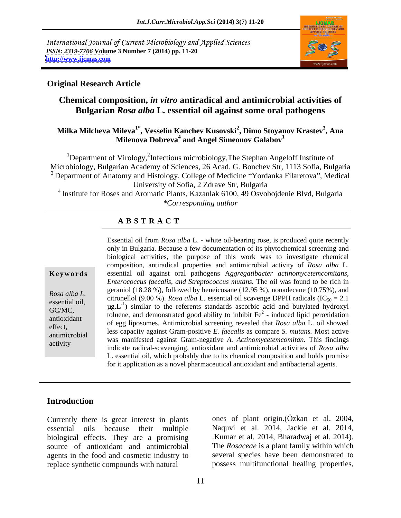International Journal of Current Microbiology and Applied Sciences *ISSN: 2319-7706* **Volume 3 Number 7 (2014) pp. 11-20 <http://www.ijcmas.com>**



#### **Original Research Article**

## **Chemical composition,** *in vitro* **antiradical and antimicrobial activities of Bulgarian** *Rosa alba* **L. essential oil against some oral pathogens**

#### $\mathbf{Milka\;Milcheva\;Mileva}^{1^{*}},\mathbf{Vesselin\;Kanchev\;Kusovski}^{2},\mathbf{Dimo\;Stoyanov\;Krastev}^{3},\mathbf{Ana}$ **, Ana Milenova Dobreva<sup>4</sup> and Angel Simeonov Galabov<sup>1</sup>**

<sup>1</sup>Department of Virology,<sup>2</sup>Infectious microbiology, The Stephan Angeloff Institute of Microbiology, Bulgarian Academy of Sciences, 26 Acad. G. Bonchev Str, 1113 Sofia, Bulgaria <sup>3</sup> Department of Anatomy and Histology, College of Medicine "Yordanka Filaretova", Medical University of Sofia, 2 Zdrave Str, Bulgaria

4 Institute for Roses and Aromatic Plants, Kazanlak 6100, 49 Osvobojdenie Blvd, Bulgaria *\*Corresponding author* 

### **A B S T R A C T**

**Ke ywo rds** essential oil against oral pathogens A*ggregatibacter actinomycetemcomitans, Rosa alba L.* essential oil, essential oil scavenge DPPH radicals  $(IC_{50} = 2.1$  essential oil,  $IC_{50} = 1$  citronellol (9.00 %). *Rosa alba* L. essential oil scavenge DPPH radicals  $(IC_{50} = 2.1$  $GCMC$ ,  $\mu$ g. The shift of the reference standards ascorbe and and butyface hydroxyphonology toluene, and demonstrated good ability to inhibit  $Fe^{2+}$ - induced lipid peroxidation antioxidant chuche, and demonstrated good ability to fillulate 1 c and access in provident of egg liposomes. Antimicrobial screening revealed that *Rosa alba* L. oil showed effect,<br>
less capacity against Gram-positive *E. faecalis* as compare *S. mutans.* Most active<br>
less capacity against Gram-positive *E. faecalis* as compare *S. mutans.* Most active antimicrobial antimicrobial and the state of the manifested against Gram-negative *A. Actinomycetemcomitan*. This findings and the manifested against Gram-negative *A. Actinomycetemcomitan*. This findings activity<br>indicate radical-scavenging, antioxidant and antimicrobial activities of *Rosa alba* Essential oil from *Rosa alba* L. - white oil-bearing rose, is produced quite recently only in Bulgaria. Because a few documentation of its phytochemical screening and biological activities, the purpose of this work was to investigate chemical composition, antiradical properties and antimicrobial activity of *Rosa alba* L. *Enterococcus faecalis, and Streptococcus mutans.* The oil was found to be rich in geraniol (18.28 %), followed by heneicosane (12.95 %), nonadecane (10.75%), and  $\mu$ g. $L^{-1}$ ) similar to the referents standards ascorbic acid and butylated hydroxyl L. essential oil, which probably due to its chemical composition and holds promise for it application as a novel pharmaceutical antioxidant and antibacterial agents.

### **Introduction**

Currently there is great interest in plants essential oils because their multiple biological effects. They are a promising source of antioxidant and antimicrobial The *Rosaceae* is a plant family within which agents in the food and cosmetic industry to replace synthetic compounds with natural possess multifunctional healing properties,

ones of plant origin.(Özkan et al. 2004, Naquvi et al. 2014, Jackie et al. 2014, .Kumar et al. 2014, Bharadwaj et al. 2014). several species have been demonstrated to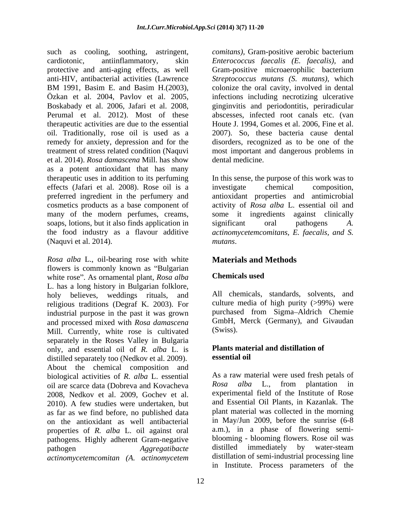such as cooling, soothing, astringent, *comitans),* Gram-positive aerobic bacterium cardiotonic, antiinflammatory, skin *Enterococcus faecalis (E. faecalis),* and protective and anti-aging effects, as well anti-HIV, antibacterial activities (Lawrence *Streptococcus mutans (S. mutans)*, which BM 1991, Basim E. and Basim H.(2003), colonize the oral cavity, involved in dental Özkan et al. 2004, Pavlov et al. 2005, infections including necrotizing ulcerative<br>Boskabady et al. 2006, Jafari et al. 2008, inginyitis and periodontitis, periradicular Perumal et al. 2012). Most of these therapeutic activities are due to the essential Houte J. 1994, Gomes et al. 2006, Fine et al. oil. Traditionally, rose oil is used as a 2007). So, these bacteria cause dental remedy for anxiety, depression and for the disorders, recognized as to be one of the treatment of stress related condition (Naquvi most important and dangerous problems in et al. 2014). *Rosa damascena* Mill. has show as a potent antioxidant that has many therapeutic uses in addition to its perfuming In this sense, the purpose of this work was to effects (Jafari et al. 2008). Rose oil is a preferred ingredient in the perfumery and antioxidant properties and antimicrobial cosmetics products as a base component of activity of *Rosa alba* L. essential oil and many of the modern perfumes, creams, some it ingredients against clinically soaps, lotions, but it also finds application in significant oral pathogens A. the food industry as a flavour additive *actinomycetemcomitans, E. faecalis, and S.* (Naquvi et al. 2014).

*Rosa alba* L., oil-bearing rose with white flowers is commonly known as "Bulgarian" white rose". As ornamental plant, *Rosa alba* **Chemicals used** L. has a long history in Bulgarian folklore,<br>holy believes, weddings rituals, and All chemicals, standards, solvents, and religious traditions (Degraf K. 2003). For industrial purpose in the past it was grown and processed mixed with *Rosa damascena* GmbH,<br>Mill Currently white rose is cultivated (Swiss). Mill. Currently, white rose is cultivated separately in the Roses Valley in Bulgaria only, and essential oil of *R. alba* L. is **Plants material points** distilled separately too (Nedkov et al. 2009) **essential oil** distilled separately too (Nedkov et al. 2009). About the chemical composition and biological activities of *R. alba* L. essential As a raw material were used fresh petals of oil are scarce data (Dobreva and Kovacheva Rosa alba L., from plantation in oil are scarce data (Dobreva and Kovacheva 2008, Nedkov et al. 2009, Gochev et al. 2010). A few studies were undertaken, but as far as we find before, no published data on the antioxidant as well antibacterial properties of *R. alba* L. oil against oral pathogens. Highly adherent Gram-negative blooming - blooming flowers. Rose oil was<br>has a as a distilled immediately by water-steam *actinomycetemcomitan (A. actinomycetem*

Gram-positive microaerophilic bacterium colonize the oral cavity, involved in dental infections including necrotizing ulcerative ginginvitis and periodontitis, periradicular abscesses, infected root canals etc. (van dental medicine.

investigate chemical composition, significant oral pathogens *A. mutans*.

# **Materials and Methods**

## **Chemicals used**

All chemicals, standards, solvents, and culture media of high purity (>99%) were purchased from Sigma Aldrich Chemie GmbH, Merck (Germany), and Givaudan (Swiss).

### **Plants material and distillation of essential oil**

pathogen *Aggregatibacte* distilled immediately by water-steam As a raw material were used fresh petals of *Rosa alba* L., from plantation in experimental field of the Institute of Rose and Essential Oil Plants, in Kazanlak. The plant material was collected in the morning in May/Jun 2009, before the sunrise (6-8 a.m.), in a phase of flowering semi blooming - blooming flowers. Rose oil was distilled immediately by water-steam distillation of semi-industrial processing line in Institute. Process parameters of the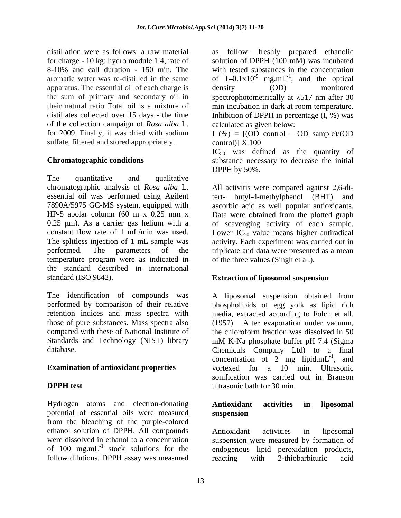distillation were as follows: a raw material as follow: freshly prepared ethanolic apparatus. The essential oil of each charge is density (OD) monitored of the collection campaign of *Rosa alba* L. for 2009. Finally, it was dried with sodium  $I(\%) = [(OD \text{ control} - OD \text{ sample})/(OD$ sulfate, filtered and stored appropriately. control)] X 100

The quantitative and qualitative and  $\frac{1}{2}$ chromatographic analysis of *Rosa alba* L. All activitis were compared against 2,6-diessential oil was performed using Agilent 7890A/5975 GC-MS system, equipped with HP-5 apolar column (60 m x 0.25 mm x Data were obtained from the plotted graph  $0.25 \mu m$ ). As a carrier gas helium with a of scavenging activity of each sample. constant flow rate of 1 mL/min was used. Lower  $IC_{50}$  value means higher antiradical The splitless injection of 1 mL sample was activity. Each experiment was carried out in performed. The parameters of the triplicate and data were presented as a mean temperature program were as indicated in the standard described in international standard (ISO 9842). **Extraction of liposomal suspension**

Standards and Technology (NIST) library

Hydrogen atoms and electron-donating **Antioxidant activities in liposomal** potential of essential oils were measured from the bleaching of the purple-colored ethanol solution of DPPH. All compounds were dissolved in ethanol to a concentration suspension were measured by formation of of 100 mg.mL<sup>-1</sup> stock solutions for the follow dilutions. DPPH assay was measured reacting with 2-thiobarbituric acid

for charge - 10 kg; hydro module 1:4, rate of solution of DPPH (100 mM) was incubated 8-10% and call duration - 150 min. The with tested substances in the concentration aromatic water was re-distilled in the same of  $1-0.1x10^{-5}$  mg.mL<sup>-1</sup>, and the optical the sum of primary and secondary oil in spectrophotometrically at  $\lambda$ 517 nm after 30 their natural ratio Total oil is a mixture of min incubation in dark at room temperature. distillates collected over 15 days - the time Inhibition of DPPH in percentage (I, %) was , and the optical density (OD) monitored calculated as given below:

 $control)$ ]  $X$  100

**Chromatographic conditions** substance necessary to decrease the initial  $IC_{50}$  was defined as the quantity of DPPH by 50%.

> butyl-4-methylphenol (BHT) and ascorbic acid as well popular antioxidants. Data were obtained from the plotted graph of the three values (Singh et al.).

The identification of compounds was A liposomal suspension obtained from performed by comparison of their relative phospholipids of egg yolk as lipid rich retention indices and mass spectra with media, extracted according to Folch et all. those of pure substances. Mass spectra also (1957). After evaporation under vacuum, compared with these of National Institute of the chloroform fraction was dissolved in 50 database. Chemicals Company Ltd) to a final **Examination of antioxidant properties** vortexed for a 10 min. Ultrasonic **DPPH test** ultrasonic bath for 30 min. mM K-Na phosphate buffer pH 7.4 (Sigma concentration of 2 mg lipid.mL $^{-1}$ , and  $-1$  and , and sonification was carried out in Branson

### **Antioxidant activities in liposomal suspension**

<sup>-1</sup> stock solutions for the endogenous lipid peroxidation products, Antioxidant activities in liposomal reacting with 2-thiobarbituric acid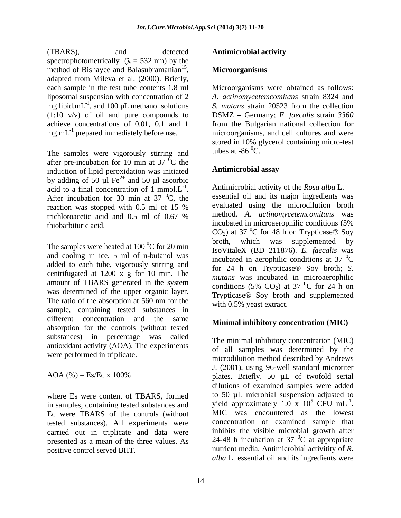(TBARS), and detected **Antimicrobial activity** spectrophotometrically  $(\lambda = 532 \text{ nm})$  by the method of Bishayee and Balasubramanian<sup>15</sup>. adapted from Mileva et al. (2000). Briefly, mg lipid.m $L^{-1}$ , and 100 µL methanol solutions

The samples were vigorously stirring and tubes at  $-86^{\circ}$ C. after pre-incubation for 10 min at 37 $\mathrm{^{0}C}$  the<br>induction of linid peroxidation was initiated **Antimicrobial assay**  $\sigma$ <sup>o</sup>C the induction of lipid peroxidation was initiated by adding of 50  $\mu$ l Fe<sup>2+</sup> and 50  $\mu$ l ascorbic  $^{2+}$  and  $50$  ul esception and 50 µl ascorbic acid to a final concentration of 1 mmol. $L^{-1}$ . After incubation for 30 min at 37  $^0C$ , the reaction was stopped with 0.5 ml of 15 %

and cooling in ice. 5 ml of n-butanol was added to each tube, vigorously stirring and centrifugated at 1200 x g for 10 min. The amount of TBARS generated in the system<br>conditions  $(5\% \text{ CO}_2)$  at  $37 \text{ °C}$  for 24 h on was determined of the upper organic layer. The ratio of the absorption at 560 nm for the sample, containing tested substances in different concentration and the same Minimal inhibitory concentration (MIC) absorption for the controls (without tested substances) in percentage was called antioxidant activity (AOA). The experiments

where Es were content of TBARS, formed in samples, containing tested substances and  $\mu$  yield approximately 1.0 x 10<sup>o</sup> CFU mL<sup>-1</sup>.<br>Equivalent Section of the controls (without MIC was encountered as the lowest Ec were TBARS of the controls (without tested substances). All experiments were carried out in triplicate and data were presented as a mean of the three values. As

### **Antimicrobial activity**

#### <sup>15</sup> Microongoniams **Microorganisms Microorganisms**

each sample in the test tube contents 1.8 ml Microorganisms were obtained as follows: liposomal suspension with concentration of 2 *A. actinomycetemcomitans* strain 8324 and , and 100 µL methanol solutions *S. mutans* strain 20523 from the collection (1:10 v/v) of oil and purecompounds to DSMZ Germany; *E. faecalis* strain *3360* achieve concentrations of 0.01, 0.1 and 1 from the Bulgarian national collection for mg.mL<sup>-1</sup> prepared immediately before use. microorganisms, and cell cultures and were stored in 10% glycerol containing micro-test tubes at  $-86^\circ$ C.

### **Antimicrobial assay**

. Antimicrobial activity of the *Rosa alba* L.  ${}^{0}C$ , the essential oil and its major ingredients was reaction was stopped with 0.5 ml of 15 % trichloroacetic acid and 0.5 ml of 0.67 % method. A. *actinomycetemcomitans* was thiobarbituric acid. incubated in microaerophilic conditions (5% The samples were heated at 100  $^{0}$ C for 20 min<br>Lea<br>Little Y (DD 211976) F for all was evaluated using the microdilution broth method. *A. actinomycetemcomitans* was  $CO<sub>2</sub>$ ) at 37 <sup>0</sup>C for 48 h on Trypticase® Soy <sup>0</sup>C for 48 h on Trypticase® Soy broth, which was supplemented IsoVitaleX (BD 211876). *E. faecalis* was incubated in aerophilic conditions at 37 $\mathrm{^{0}C}$  $\rm{^{0}C}$ for 24 h on Trypticase® Soy broth; *S. mutans* was incubated in microaerophilic conditions (5% CO<sub>2</sub>) at 37 <sup>o</sup>C for 24 h on  ${}^{0}C$  for 24 h on Trypticase® Soy broth and supplemented with 0.5% yeast extract.

### **Minimal inhibitory concentration (MIC)**

were performed in triplicate.<br>
microdilution method described by Andrews AOA  $%$  = Es/Ec x 100% plates. Briefly, 50  $\mu$ L of twofold serial positive control served BHT. The nutrient media. Antimicrobial activitity of *R*. The minimal inhibitory concentration (MIC) of all samples was determined by the J. (2001), using 96-well standard microtiter dilutions of examined samples were added to 50 µL microbial suspension adjusted to vield approximately 1.0 x  $10^5$  CFU mL<sup>-1</sup>.  $^5$  CFU mL<sup>-1</sup>. -1 yield approximately  $1.0 \times 10^5$  CFU mL<sup>-1</sup>.<br>MIC was encountered as the lowest concentration of examined sample that inhibits the visible microbial growth after 24-48 h incubation at 37  $\mathrm{^0C}$  at appropriate  ${}^{0}C$  at appropriate *alba* L. essential oil and its ingredients were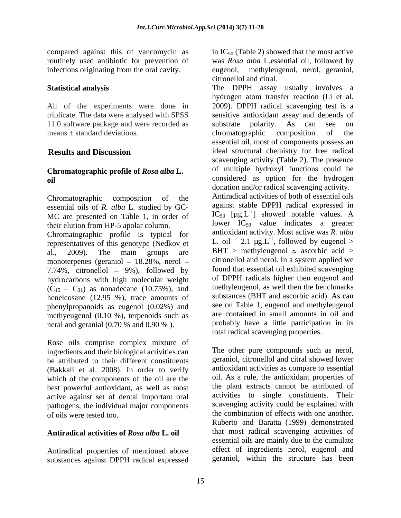infections originating from the oral cavity.

11.0 software package and were recorded as substrate polarity. As can see on chromatographic composition of the

# **Chromatographic profile of** *Rosa alba* **L.**

essential oils of *R. alba* L. studied by GC- MC are presented on Table 1, in order of representatives of this genotype (Nedkov et

monoterpenes (geraniol  $-18.28\%$ , nerol  $-$ 7.74%, citronellol  $-9\%$ ), followed by hydrocarbons with high molecular weight  $(C_{15} - C_{31})$  as nonadecane (10.75%), and heneicosane (12.95 %), trace amounts of phenylpropanoids as eugenol (0.02%) and methyeugenol (0.10 %), terpenoids such as neral and geranial (0.70 % and 0.90 % ).

Rose oils comprise complex mixture of ingredients and their biological activities can be attributed to their different constituents (Bakkali et al. 2008). In order to verify which of the components of the oil are the best powerful antioxidant, as well as most active against set of dental important oral pathogens, the individual major components

## **Antiradical activities of** *Rosa alba* **L. oil**

Antiradical properties of mentioned above substances against DPPH radical expressed

compared against this of vancomycin as  $\ln IC_{50}$  (Table 2) showed that the most active routinely used antibiotic for prevention of was *Rosa alba* L.essential oil, followed by methyleugenol, nerol, geraniol,

**Statistical analysis** The DPPH assay usually involves a All of the experiments were done in 2009). DPPH radical scavenging test is a triplicate. The data were analysed with SPSS sensitive antioxidant assay and depends of means  $\pm$  standard deviations. The entries of the entries of the entries of the entries of the entries of the entries of the entries of the entries of the entries of the entries of the entries of the entries of the entrie **Results and Discussion** ideal structural chemistry for free radical **oil** considered as option for the hydrogen Chromatographic composition of the Antiradical activities of both of essential oils their elution from HP-5 apolar column.<br>Chromatographic profile is typical for antioxidant activity. Most active was R. alba al., 2009). The main groups are BHT > methyleugenol  $\approx$  ascorbic acid > citronellol and citral. The DPPH assay usually involves <sup>a</sup> hydrogen atom transfer reaction (Li et al. substrate polarity. As can see on chromatographic composition of the essential oil*,* most of components possess an scavenging activity (Table 2). The presence of multiple hydroxyl functions could be donation and/or radical scavenging activity. Antiradical activities of both of essential oils against stable DPPH radical expressed in  $IC_{50}$  [ $\mu$ g.L<sup>-1</sup>] showed notable values. A ] showed notable values. A lower  $IC_{50}$  value indicates a greater antioxidant activity. Most active was *R. alba* L. oil – 2.1  $\mu$ g.L<sup>-1</sup>, followed by eugenol > , followed by eugenol > citronellol and nerol. In a system applied we found that essential oil exhibited scavenging of DPPH radicals higher then eugenol and methyleugenol, as well then the benchmarks substances (BHT and ascorbic acid). As can see on Table 1, eugenol and methyleugenol are contained in small amounts in oil and probably have a little participation in its total radical scavenging properties.

of oils were tested too. the combination of effectswith one another. The other pure compounds such as nerol, geraniol, citronellol and citral showed lower antioxidant activities as compare to essential oil. As a rule, the antioxidant properties of the plant extracts cannot be attributed of activities to single constituents. Their scavenging activity could be explained with Ruberto and Baratta (1999) demonstrated that most radical scavenging activities of essential oils are mainly due to the cumulate effect of ingredients nerol, eugenol and geraniol, within the structure has been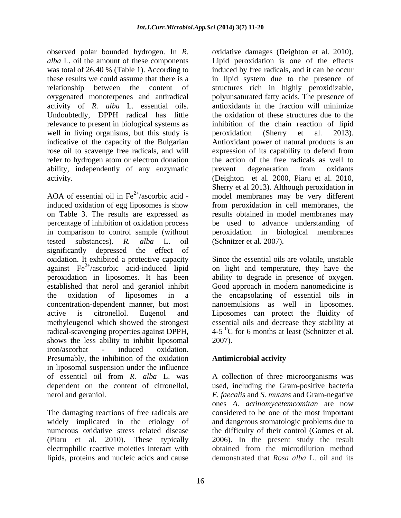observed polar bounded hydrogen. In *R. alba* L. oil the amount of these components Lipid peroxidation is one of the effects oxygenated monoterpenes and antiradical activity of *R. alba* L. essential oils. Undoubtedly, DPPH radical has little relevance to present in biological systems as well in living organisms, but this study is peroxidation (Sherry et al. 2013). ability, independently of any enzymatic

AOA of essential oil in  $Fe^{2+}/$ ascorbic acid induced oxidation of egg liposomes is show from peroxidation in cell membranes, the on Table 3. The results are expressed as results obtained in model membranes may percentage of inhibition of oxidation process be used to advance understanding of in comparison to control sample (without tested substances). *R. alba* L. oil significantly depressed the effect of oxidation. It exhibited a protective capacity Since the essential oils are volatile, unstable against  $Fe^{2+}/$ ascorbic acid-induced lipid on light and temperature, they have the peroxidation in liposomes. It has been established that nerol and geraniol inhibit Good approach in modern nanomedicine is the oxidation of liposomes in a the encapsolating of essential oils in concentration-dependent manner, but most nanoemulsions as well in liposomes. active is citronellol. Eugenol and Liposomes can protect the fluidity of methyleugenol which showed the strongest essential oils and decrease they stability at radical-scavenging properties against DPPH,  $4-5\,^0C$  for 6 months at least (Schnitzer et al. shows the less ability to inhibit liposomal 2007). iron/ascorbat - induced oxidation. Presumably, the inhibition of the oxidation **Antimicrobial activity** in liposomal suspension under the influence of essential oil from *R. alba* L. was A collection of three microorganisms was dependent on the content of citronellol, used, including the Gram-positive bacteria nerol and geraniol. *E. faecalis* and *S. mutans* and Gram-negative

The damaging reactions of free radicals are electrophilic reactive moieties interact with lipids, proteins and nucleic acids and cause

was total of 26.40 % (Table 1). According to induced by free radicals, and it can be occur these results we could assume that there is a in lipid system due to the presence of relationship between the content of structures rich in highly peroxidizable, indicative of the capacity of the Bulgarian Antioxidant power of natural products is an rose oil to scavenge free radicals, and will expression of its capability to defend from refer to hydrogen atom or electron donation the action of the free radicals as well to activity. (Deighton et al. 2000, Piaru et al. 2010, /ascorbic acid - model membranes may be very different oxidative damages (Deighton et al. 2010). Lipid peroxidation is one of the effects polyunsaturated fatty acids. The presence of antioxidants in the fraction will minimize the oxidation of these structures due to the inhibition of the chain reaction of lipid peroxidation (Sherry et al. 2013). prevent degeneration from oxidants Sherry et al 2013). Although peroxidation in peroxidation in biological membranes (Schnitzer et al. 2007).

> ability to degrade in presence of oxygen. 2007).

## **Antimicrobial activity**

widely implicated in the etiology of and dangerous stomatologic problems due to numerous oxidative stress related disease the difficulty of their control (Gomes et al. (Piaru et al. 2010). These typically 2006). In the present study the result ones *A. actinomycetemcomitan* are now considered to be one of the most important obtained from the microdilution method demonstrated that *Rosa alba* L. oil and its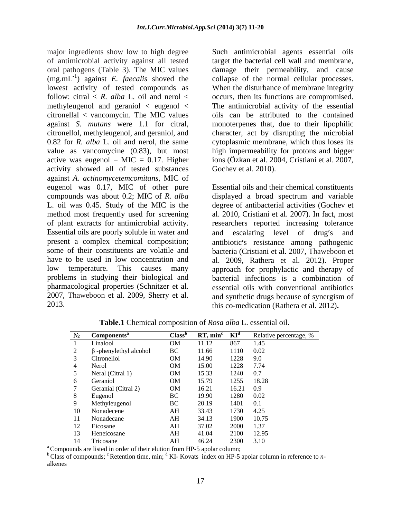of antimicrobial activity against all tested oral pathogens (Table 3). The MIC values damage their permeability, and cause (mg.mL-1 ) against *E. faecalis* shoved the collapse of the normal cellular processes. lowest activity of tested compounds as When the disturbance of membrane integrity follow: citral  $\lt R$ . *alba* L. oil and nerol  $\lt$  occurs, then its functions are compromised. methyleugenol and geraniol < eugenol < The antimicrobial activity of the essential citronellal < vancomycin. The MIC values against *S. mutans* were 1.1 for citral, monoterpenes that, due to their lipophilic citronellol, methyleugenol, and geraniol, and character, act by disrupting the microbial 0.82 for *R. alba* L. oil and nerol, the same value as vancomycine (0.83), but most high impermeability for protons and bigger active was eugenol  $-$  MIC = 0.17. Higher activity showed all of tested substances against *A. actinomycetemcomitans,* MIC of eugenol was 0.17, MIC of other pure compounds was about 0.2; MIC of *R.alba* displayed a broad spectrum and variable L. oil was 0.45. Study of the MIC is the degree of antibacterial activities (Gochev et method most frequently used for screening al. 2010, Cristiani et al. 2007). In fact, most of plant extracts for antimicrobial activity. researchers reported increasing tolerance Essential oils are poorly soluble in water and and escalating level of drug's and present a complex chemical composition; antibiotic's resistance among pathogenic some of their constituents are volatile and bacteria (Cristiani et al. 2007, Thaweboon et have to be used in low concentration and al. 2009, Rathera et al. 2012). Proper low temperature. This causes many approach for prophylactic and therapy of problems in studying their biological and bacterial infections is a combination of pharmacological properties (Schnitzer et al. essential oils with conventional antibiotics 2007, Thaweboon et al. 2009, Sherry et al. and synthetic drugs because of synergism of

major ingredients show low to high degree Such antimicrobial agents essential oils target the bacterial cell wall and membrane, oils can be attributed to the contained cytoplasmic membrane, which thus loses its ions (Özkan et al. 2004, Cristiani et al. 2007, Gochev et al. 2010).

2013. this co-medication (Rathera et al. 2012)**.** Essential oils and their chemical constituents and escalating level of and synthetic drugs because of synergism of

| $N_2$ Components <sup>a</sup>  |                                                                                                                                                                                                                                |          |            | <b>Class<sup>b</sup></b> RT, min <sup>c</sup> KI <sup>d</sup> Relative percentage, % |
|--------------------------------|--------------------------------------------------------------------------------------------------------------------------------------------------------------------------------------------------------------------------------|----------|------------|--------------------------------------------------------------------------------------|
| Linalool                       | OM                                                                                                                                                                                                                             | 11.12    | 867 1.45   |                                                                                      |
| β-phenylethyl alcohol          | BC and the state of the state of the state of the state of the state of the state of the state of the state of the state of the state of the state of the state of the state of the state of the state of the state of the sta | 11.66    | 1110 0.02  |                                                                                      |
| Citronellol                    | OM                                                                                                                                                                                                                             | 14.90    | 1228 9.0   |                                                                                      |
| Nerol                          | OM                                                                                                                                                                                                                             | 15.00    | 1228 7.74  |                                                                                      |
| Neral (Citral 1)               |                                                                                                                                                                                                                                | OM 15.33 | 1240 0.7   |                                                                                      |
| Geraniol                       | OM                                                                                                                                                                                                                             | 15.79    | 1255 18.28 |                                                                                      |
| Geranial (Citral 2)            | OM                                                                                                                                                                                                                             | 16.21    | 16.21 0.9  |                                                                                      |
| Eugenol                        |                                                                                                                                                                                                                                | BC 19.90 | 1280 0.02  |                                                                                      |
| Methyleugenol                  |                                                                                                                                                                                                                                | BC 20.19 | 1401 0.1   |                                                                                      |
| 10                             | AH                                                                                                                                                                                                                             | 33.43    | 1730 4.25  |                                                                                      |
| Nonadecene<br>Nonadecane<br>11 | AH                                                                                                                                                                                                                             | 34.13    | 1900 10.75 |                                                                                      |
| Eicosane<br>12                 | AH                                                                                                                                                                                                                             | 37.02    | 2000 1.37  |                                                                                      |
| Heneicosane<br>13              | AH                                                                                                                                                                                                                             | 41.04    | 2100 12.95 |                                                                                      |
| 14<br>Tricosane                | AH                                                                                                                                                                                                                             | 46.24    | 2300 3.10  |                                                                                      |

**Table.1** Chemical composition of *Rosa alba* L. essential oil.

<sup>a</sup> Compounds are listed in order of their elution from HP-5 apolar column;<br><sup>b</sup> Class of compounds; <sup>c</sup> Retention time, min; <sup>d</sup> KI- Kovats index on HP-5 apolar column in reference to *n*alkenes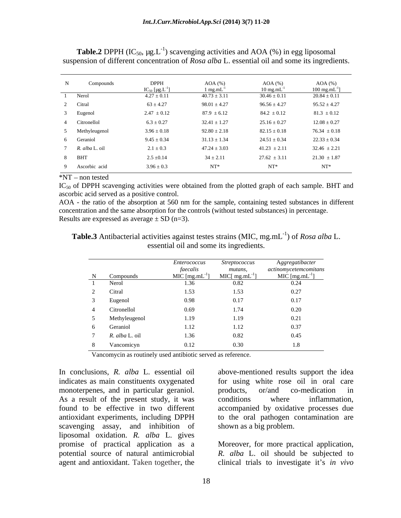| N Compounds    | $\ensuremath{\mathsf{DPPH}}$    | $AOA$ (%)              | AOA $(%)$               | $AOA$ $%$ )                |
|----------------|---------------------------------|------------------------|-------------------------|----------------------------|
|                | $IC_{50}$ [µg.L <sup>-1</sup> ] | $1 \text{ mg.mL}^{-1}$ | $10 \text{ mg.mL}^{-1}$ | $100 \text{ mg.mL}^{-1}$ ] |
| Nerol          | $4.27 \pm 0.11$                 | $40.73 \pm 3.11$       | $30.46 \pm 0.11$        | $20.84 \pm 0.11$           |
| Citral         | $63 \pm 4.27$                   | $98.01 \pm 4.27$       | $96.56 \pm 4.27$        | $95.52 \pm 4.27$           |
| Eugenol        | $2.47 \pm 0.12$                 | $87.9 \pm 6.12$        | $84.2 \pm 0.12$         | $81.3 \pm 0.12$            |
| Citronellol    | $6.3 \pm 0.27$                  | $32.41 \pm 1.27$       | $25.16 \pm 0.27$        | $12.08 \pm 0.27$           |
| Methyleugenol  | $3.96 \pm 0.18$                 | $92.80 \pm 2.18$       | $82.15 \pm 0.18$        | $76.34 \pm 0.18$           |
| Geraniol       | $9.45 \pm 0.34$                 | $31.13 \pm 1.34$       | $24.51 \pm 0.34$        | $22.33 \pm 0.34$           |
| R. alba L. oil | $2.1\pm0.3$                     | $47.24 \pm 3.03$       | $41.23 \pm 2.11$        | $32.46 \pm 2.21$           |
| <b>BHT</b>     | $2.5 \pm 0.14$                  | $34 \pm 2.11$          | $27.62 \pm 3.11$        | $21.30 \pm 1.87$           |
| Ascorbic acid  | $3.96\pm0.3$                    | $NT^*$                 | $NT^*$                  | ${\rm NT^*}$               |

**Table.2** DPPH (IC<sub>50</sub>,  $\mu$ g.L<sup>-1</sup>) scavenging activities and AOA (%) in egg liposomal suspension of different concentration of *Rosa alba* L. essential oil and some its ingredients.

\*NT – non tested

 $IC_{50}$  of DPPH scavenging activities were obtained from the plotted graph of each sample. BHT and ascorbic acid served as a positive control.

AOA - the ratio of the absorption at 560 nm for the sample, containing tested substances in different concentration and the same absorption for the controls (without tested substances) in percentage. Results are expressed as average  $\pm$  SD (n=3).

Table.3 Antibacterial activities against testes strains (MIC, mg.mL<sup>-1</sup>) of *Rosa alba* L. essential oil and some its ingredients.

|              |                | <i>Enterococcus</i>                   | <i>Streptococcus</i>           | Aggregatibacter                               |
|--------------|----------------|---------------------------------------|--------------------------------|-----------------------------------------------|
|              | N Compounds    | faecalis<br>MIC $[\text{mg.mL}^{-1}]$ | mutans,<br>MIC[ $mg.mL^{-1}$ ] | actinomycetemcomitans<br>MIC [mg.mL $^{-1}$ ] |
|              | Nerol          | 1.36                                  | 0.82                           | 0.24                                          |
|              | Citral         | 1.53                                  | 1.53                           | 0.27                                          |
|              | Eugenol        | 0.98                                  | 0.17                           | 0.17                                          |
|              | Citronellol    | 0.69                                  | 1.74                           | 0.20                                          |
|              | Methyleugenol  | 1.19                                  | 1.19                           | 0.21                                          |
| <sub>n</sub> | Geraniol       | 1.12                                  | 1.12                           | 0.37                                          |
|              | R. alba L. oil | 1.36                                  | 0.82                           | 0.45                                          |
|              | Vancomicyn     | 0.12                                  | 0.30                           | 1.8                                           |

Vancomycin as routinely used antibiotic served as reference.

indicates as main constituents oxygenated monoterpenes, and in particular geraniol. by products, or/and co-medication in As a result of the present study, it was conditions where inflammation, scavenging assay, and inhibition of liposomal oxidation. *R. alba* L. gives promise of practical application as a Moreover, for more practical application, potential source of natural antimicrobial *R. alba* L. oil should be subjected to

In conclusions, *R. alba* L. essential oil above-mentioned results support the idea found to be effective in two different accompanied by oxidative processes due antioxidant experiments, including DPPH to the oral pathogen contamination are for using white rose oil in oral care products, or/and co-medication in conditions where inflammation, shown as a big problem.

agent and antioxidant. Taken together, the clinical trials to investigate it's *in vivo*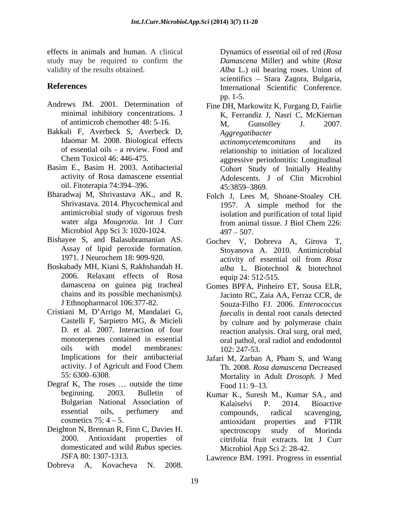effects in animals and human. A clinical study may be required to confirm the *Damascena* Miller) and white (*Rosa* validity of the results obtained. *Alba* L.) oil bearing roses. Union of

- Andrews JM. 2001. Determination of Fine DH, Markowitz K, Furgang D, Fairlie minimal inhibitory concentrations. J
- 
- activity of Rosa damascene essential oil. Fitoterapia 74:394 396.
- Microbiol App Sci 3: 1020-1024. 497 507.
- Bishayee S, and Balasubramanian AS. Gochev V, Dobreva A, Girova T, Assay of lipid peroxide formation.
- Boskabady MH, Kiani S, Rakhshandah H. alba L. Biotechnol & biotechnol 2006. Relaxant effects of Rosa chains and its possible mechanism(s*).*
- Cristiani M, D'Arrigo M, Mandalari G,
- Degraf K, The roses  $\dots$  outside the time  $\qquad \qquad \text{Food } 11: 9-13.$
- Deighton N, Brennan R, Finn C, Davies H. Spectroscopy study of Morinda domesticated and wild *Rubus* species.
- Dobreva A, Kovacheva N. 2008.

**References** International Scientific Conference. Dynamics of essential oil of red (*Rosa Damascena* Miller) and white (*Rosa*  scientifics - Stara Zagora, Bulgaria, pp. 1-5.

- of antimicrob chemother 48: 5–16. M, Gunsolley J. 2007.<br>Bakkali F, Averbeck S, Averbeck D, Agoreoatihacter Bakkali F, Averbeck S, Averbeck D, aggregatibacter<br>Idaomar M. 2008. Biological effects actinomycetem comitans and its of essential oils - a review. Food and relationship to initiation of localized Chem Toxicol 46: 446-475. aggressive periodontitis: Longitudinal Basim E., Basim H. 2003. Antibacterial Cohort Study of Initially Healthy K, Ferrandiz J, Nasri C, McKiernan M, Gunsolley J. 2007. *Aggregatibacter actinomycetemcomitans* and its Adolescents. J of Clin Microbiol 45:3859 3869.
- Bharadwaj M, Shrivastava AK., and R. Folch J, Lees M, Shoane-Stoaley CH. Shrivastava. 2014. Phycochemical and 1957. A simple method for the antimicrobial study of vigorous fresh isolation and purification of total lipid water alga *Mougeotia.* Int J Curr from animal tissue. J Biol Chem 226:  $497 - 507.$ 
	- 1971. J Neurochem 18: 909-920. activity of essential oil from Rosa Stoyanova A. 2010. Antimicrobial activity of essential oil from *Rosa alba* L*.* Biotechnol & biotechnol equip 24: 512-515.
	- damascena on guinea pig tracheal Gomes BPFA, Pinheiro ET, Sousa ELR, J Ethnopharmacol 106:377-82. Souza-Filho FJ. 2006. *Enterococcus*  Castelli F, Sarpietro MG, & Micieli D. et al. 2007. Interaction of four reaction analysis. Oral surg, oral med, monoterpenes contained in essential oral pathol, oral radiol and endodontol oils with model membranes:  $102:247-53$ . Jacinto RC, Zaia AA, Ferraz CCR, de *faecalis* in dental root canals detected by culture and by polymerase chain 102: 247-53.
	- Implications for their antibacterial Jafari M, Zarban A, Pham S, and Wang activity. J of Agricult and Food Chem Th. 2008. Rosa damascena Decreased 55: 6300 6308. Mortality in Adult *Drosoph.* J Med Th. 2008. *Rosa damascena* Decreased Food  $11: 9-13$ .
	- beginning. 2003. Bulletin of Kumar K., Suresh M., Kumar SA., and Bulgarian National Association of Kalaiselvi P. 2014. Bioactive essential oils, perfumery and compounds, radical scavenging,  $\alpha$ cosmetics 75:  $4 - 5$ . antioxidant properties and FTIR 2000. Antioxidant properties of citrifolia fruit extracts. Int J Curr Kalaiselvi P. 2014. Bioactive compounds, radical scavenging, antioxidant properties and FTIR spectroscopy study of Morinda Microbiol App Sci 2: 28-42.

JSFA 80: 1307-1313. Lawrence BM. 1991. Progress in essential